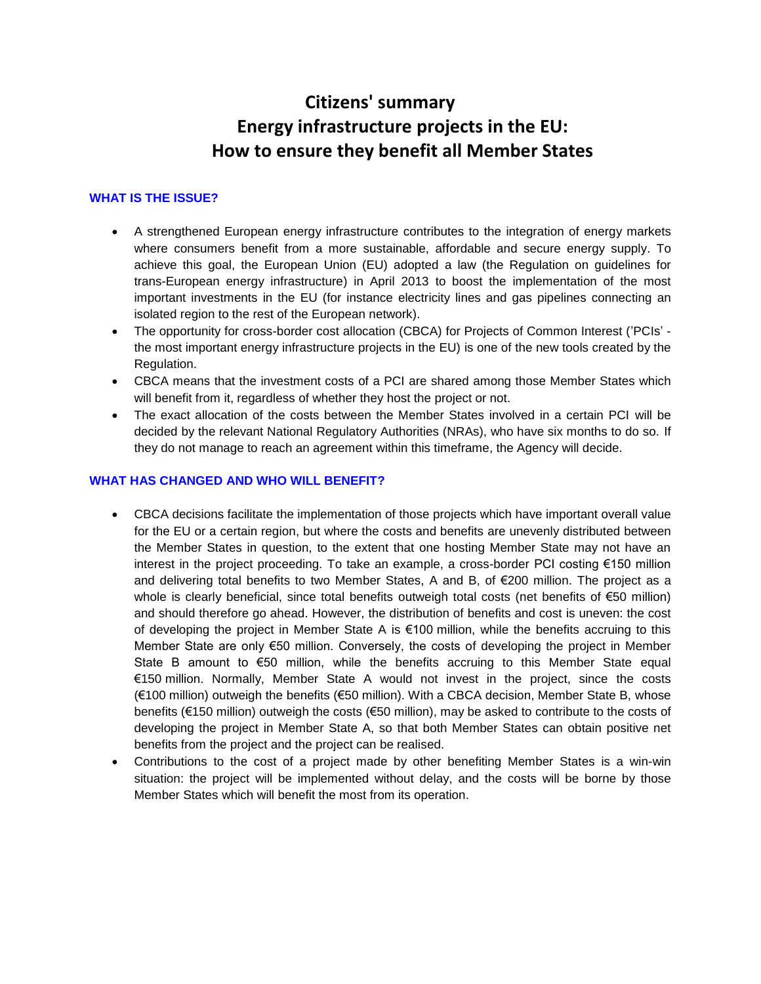# **Citizens' summary Energy infrastructure projects in the EU: How to ensure they benefit all Member States**

# **WHAT IS THE ISSUE?**

- A strengthened European energy infrastructure contributes to the integration of energy markets where consumers benefit from a more sustainable, affordable and secure energy supply. To achieve this goal, the European Union (EU) adopted a law (the Regulation on guidelines for trans-European energy infrastructure) in April 2013 to boost the implementation of the most important investments in the EU (for instance electricity lines and gas pipelines connecting an isolated region to the rest of the European network).
- The opportunity for cross-border cost allocation (CBCA) for Projects of Common Interest ('PCIs' the most important energy infrastructure projects in the EU) is one of the new tools created by the Regulation.
- CBCA means that the investment costs of a PCI are shared among those Member States which will benefit from it, regardless of whether they host the project or not.
- The exact allocation of the costs between the Member States involved in a certain PCI will be decided by the relevant National Regulatory Authorities (NRAs), who have six months to do so. If they do not manage to reach an agreement within this timeframe, the Agency will decide.

## **WHAT HAS CHANGED AND WHO WILL BENEFIT?**

- CBCA decisions facilitate the implementation of those projects which have important overall value for the EU or a certain region, but where the costs and benefits are unevenly distributed between the Member States in question, to the extent that one hosting Member State may not have an interest in the project proceeding. To take an example, a cross-border PCI costing €150 million and delivering total benefits to two Member States, A and B, of €200 million. The project as a whole is clearly beneficial, since total benefits outweigh total costs (net benefits of €50 million) and should therefore go ahead. However, the distribution of benefits and cost is uneven: the cost of developing the project in Member State A is €100 million, while the benefits accruing to this Member State are only €50 million. Conversely, the costs of developing the project in Member State B amount to €50 million, while the benefits accruing to this Member State equal €150 million. Normally, Member State A would not invest in the project, since the costs (€100 million) outweigh the benefits (€50 million). With a CBCA decision, Member State B, whose benefits (€150 million) outweigh the costs (€50 million), may be asked to contribute to the costs of developing the project in Member State A, so that both Member States can obtain positive net benefits from the project and the project can be realised.
- Contributions to the cost of a project made by other benefiting Member States is a win-win situation: the project will be implemented without delay, and the costs will be borne by those Member States which will benefit the most from its operation.